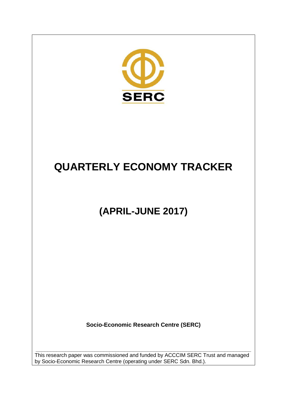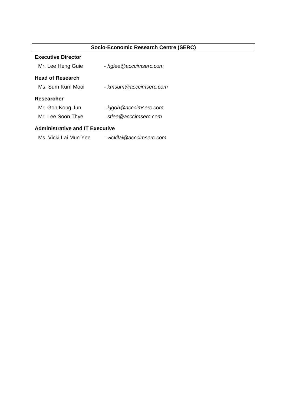| Socio-Economic Research Centre (SERC)  |                           |  |  |  |  |  |  |
|----------------------------------------|---------------------------|--|--|--|--|--|--|
| <b>Executive Director</b>              |                           |  |  |  |  |  |  |
| Mr. Lee Heng Guie                      | - hglee@acccimserc.com    |  |  |  |  |  |  |
| <b>Head of Research</b>                |                           |  |  |  |  |  |  |
| Ms. Sum Kum Mooi                       | - kmsum@acccimserc.com    |  |  |  |  |  |  |
| <b>Researcher</b>                      |                           |  |  |  |  |  |  |
| Mr. Goh Kong Jun                       | - kigoh @acccimserc.com   |  |  |  |  |  |  |
| Mr. Lee Soon Thye                      | - stlee@acccimserc.com    |  |  |  |  |  |  |
| <b>Administrative and IT Executive</b> |                           |  |  |  |  |  |  |
| Ms. Vicki Lai Mun Yee                  | - vickilai@acccimserc.com |  |  |  |  |  |  |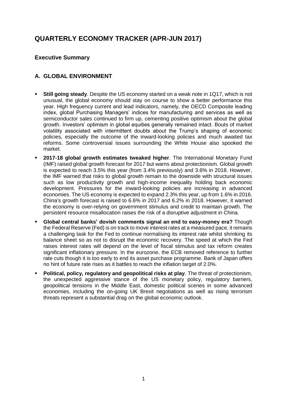# **QUARTERLY ECONOMY TRACKER (APR-JUN 2017)**

### **Executive Summary**

# **A. GLOBAL ENVIRONMENT**

- **Still going steady**. Despite the US economy started on a weak note in 1Q17, which is not unusual, the global economy should stay on course to show a better performance this year. High frequency current and lead indicators, namely, the OECD Composite leading index, global Purchasing Managers' indices for manufacturing and services as well as semiconductor sales continued to firm up, cementing positive optimism about the global growth. Investors' optimism in global equities generally remained intact. Bouts of market volatility associated with intermittent doubts about the Trump's shaping of economic policies, especially the outcome of the inward-looking policies and much awaited tax reforms. Some controversial issues surrounding the White House also spooked the market.
- **2017-18 global growth estimates tweaked higher**. The International Monetary Fund (IMF) raised global growth forecast for 2017 but warns about protectionism. Global growth is expected to reach 3.5% this year (from 3.4% previously) and 3.6% in 2018. However, the IMF warned that risks to global growth remain to the downside with structural issues such as low productivity growth and high-income inequality holding back economic development. Pressures for the inward-looking policies are increasing in advanced economies. The US economy is expected to expand 2.3% this year, up from 1.6% in 2016. China's growth forecast is raised to 6.6% in 2017 and 6.2% in 2018. However, it warned the economy is over-relying on government stimulus and credit to maintain growth. The persistent resource misallocation raises the risk of a disruptive adjustment in China.
- **Global central banks' dovish comments signal an end to easy-money era?** Though the Federal Reserve (Fed) is on track to move interest rates at a measured pace, it remains a challenging task for the Fed to continue normalising its interest rate whilst shrinking its balance sheet so as not to disrupt the economic recovery. The speed at which the Fed raises interest rates will depend on the level of fiscal stimulus and tax reform creates significant inflationary pressure. In the eurozone, the ECB removed reference to further rate cuts though it is too early to end its asset purchase programme. Bank of Japan offers no hint of future rate rises as it battles to reach the inflation target of 2.0%.
- **Political, policy, regulatory and geopolitical risks at play**. The threat of protectionism, the unexpected aggressive stance of the US monetary policy, regulatory barriers, geopolitical tensions in the Middle East, domestic political scenes in some advanced economies, including the on-going UK Brexit negotiations as well as rising terrorism threats represent a substantial drag on the global economic outlook.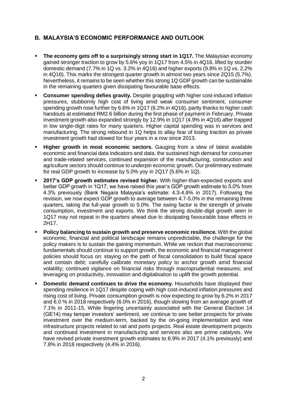# **B. MALAYSIA'S ECONOMIC PERFORMANCE AND OUTLOOK**

- **The economy gets off to a surprisingly strong start in 1Q17.** The Malaysian economy gained stronger traction to grow by 5.6% yoy in 1Q17 from 4.5% in 4Q16, lifted by sturdier domestic demand (7.7% in 1Q vs. 3.2% in 4Q16) and higher exports (9.8% in 1Q vs. 2.2% in 4Q16). This marks the strongest quarter growth in almost two years since 2Q15 (5.7%). Nevertheless, it remains to be seen whether this strong 1Q GDP growth can be sustainable in the remaining quarters given dissipating favourable base effects.
- **Consumer spending defies gravity.** Despite grappling with higher cost-induced inflation pressures, stubbornly high cost of living amid weak consumer sentiment, consumer spending growth rose further by 6.6% in 1Q17 (6.2% in 4Q16), partly thanks to higher cash handouts at estimated RM2.6 billion during the first phase of payment in February. Private investment growth also expanded strongly by 12.9% in 1Q17 (4.9% in 4Q16) after trapped in low single-digit rates for many quarters. Higher capital spending was in services and manufacturing. The strong rebound in 1Q helps to allay fear of losing traction as private investment growth had slowed for four years in a row since 2013.
- **Higher growth in most economic sectors.** Gauging from a slew of latest available economic and financial data indicators and data, the sustained high demand for consumer and trade-related services, continued expansion of the manufacturing, construction and agriculture sectors should continue to underpin economic growth. Our preliminary estimate for real GDP growth to increase by 5.0% yoy in 2Q17 (5.6% in 1Q).
- **2017's GDP growth estimates revised higher.** With higher-than-expected exports and better GDP growth in 1Q17, we have raised this year's GDP growth estimate to 5.0% from 4.3% previously (Bank Negara Malaysia's estimate: 4.3-4.8% in 2017). Following the revision, we now expect GDP growth to average between 4.7-5.0% in the remaining three quarters, taking the full-year growth to 5.0%. The swing factor is the strength of private consumption, investment and exports. We think the strong double-digit growth seen in 1Q17 may not repeat in the quarters ahead due to dissipating favourable base effects in 2H17.
- **Policy balancing to sustain growth and preserve economic resilience.** With the global economic, financial and political landscape remains unpredictable, the challenge for the policy makers is to sustain the gaining momentum. While we reckon that macroeconomic fundamentals should continue to support growth, the economic and financial management policies should focus on: staying on the path of fiscal consolidation to build fiscal space and contain debt; carefully calibrate monetary policy to anchor growth amid financial volatility; continued vigilance on financial risks through macroprudential measures; and leveraging on productivity, innovation and digitalisation to uplift the growth potential.
- **Domestic demand continues to drive the economy.** Households have displayed their spending resilience in 1Q17 despite coping with high cost-induced inflation pressures and rising cost of living. Private consumption growth is now expecting to grow by 6.2% in 2017 and 6.0 % in 2018 respectively (6.0% in 2016), though slowing from an average growth of 7.1% in 2011-15. While lingering uncertainty associated with the General Election 14 (GE14) may temper investors' sentiment, we continue to see better prospects for private investment over the medium-term, backed by the on-going implementation and new infrastructure projects related to rail and ports projects. Real estate development projects and continued investment in manufacturing and services also are prime catalysts. We have revised private investment growth estimates to 8.9% in 2017 (4.1% previously) and 7.8% in 2018 respectively (4.4% in 2016).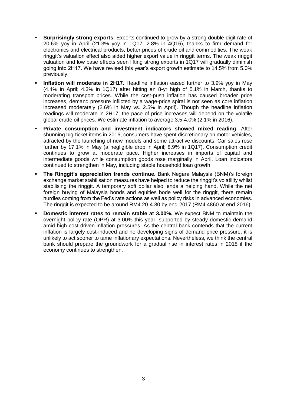- **Surprisingly strong exports.** Exports continued to grow by a strong double-digit rate of 20.6% yoy in April (21.3% yoy in 1Q17; 2.8% in 4Q16), thanks to firm demand for electronics and electrical products, better prices of crude oil and commodities. The weak ringgit's valuation effect also aided higher export value in ringgit terms. The weak ringgit valuation and low base effects seen lifting strong exports in 1Q17 will gradually diminish going into 2H17. We have revised this year's export growth estimate to 14.5% from 5.0% previously.
- **Inflation will moderate in 2H17.** Headline inflation eased further to 3.9% yoy in May (4.4% in April; 4.3% in 1Q17) after hitting an 8-yr high of 5.1% in March, thanks to moderating transport prices. While the cost-push inflation has caused broader price increases, demand pressure inflicted by a wage-price spiral is not seen as core inflation increased moderately (2.6% in May vs. 2.5% in April). Though the headline inflation readings will moderate in 2H17, the pace of price increases will depend on the volatile global crude oil prices. We estimate inflation to average 3.5-4.0% (2.1% in 2016).
- **Private consumption and investment indicators showed mixed reading**. After shunning big-ticket items in 2016, consumers have spent discretionary on motor vehicles, attracted by the launching of new models and some attractive discounts. Car sales rose further by 17.1% in May (a negligible drop in April; 8.9% in 1Q17). Consumption credit continues to grow at moderate pace. Higher increases in imports of capital and intermediate goods while consumption goods rose marginally in April. Loan indicators continued to strengthen in May, including stable household loan growth.
- **The Ringgit's appreciation trends continue.** Bank Negara Malaysia (BNM)'s foreign exchange market stabilisation measures have helped to reduce the ringgit's volatility whilst stabilising the ringgit. A temporary soft dollar also lends a helping hand. While the net foreign buying of Malaysia bonds and equities bode well for the ringgit, there remain hurdles coming from the Fed's rate actions as well as policy risks in advanced economies. The ringgit is expected to be around RM4.20-4.30 by end-2017 (RM4.4860 at end-2016).
- **Domestic interest rates to remain stable at 3.00%.** We expect BNM to maintain the overnight policy rate (OPR) at 3.00% this year, supported by steady domestic demand amid high cost-driven inflation pressures. As the central bank contends that the current inflation is largely cost-induced and no developing signs of demand price pressure, it is unlikely to act sooner to tame inflationary expectations. Nevertheless, we think the central bank should prepare the groundwork for a gradual rise in interest rates in 2018 if the economy continues to strengthen.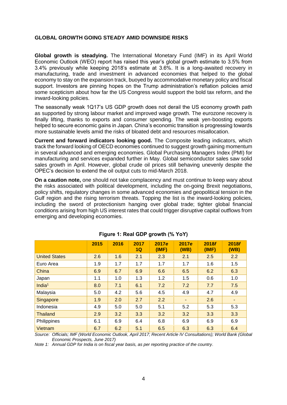### **GLOBAL GROWTH GOING STEADY AMID DOWNSIDE RISKS**

**Global growth is steadying.** The International Monetary Fund (IMF) in its April World Economic Outlook (WEO) report has raised this year's global growth estimate to 3.5% from 3.4% previously while keeping 2018's estimate at 3.6%. It is a long-awaited recovery in manufacturing, trade and investment in advanced economies that helped to the global economy to stay on the expansion track, buoyed by accommodative monetary policy and fiscal support. Investors are pinning hopes on the Trump administration's reflation policies amid some scepticism about how far the US Congress would support the bold tax reform, and the inward-looking policies.

The seasonally weak 1Q17's US GDP growth does not derail the US economy growth path as supported by strong labour market and improved wage growth. The eurozone recovery is finally lifting, thanks to exports and consumer spending. The weak yen-boosting exports helped to secure economic gains in Japan. China's economic transition is progressing towards more sustainable levels amid the risks of bloated debt and resources misallocation.

**Current and forward indicators looking good.** The Composite leading indicators, which track the forward looking of OECD economies continued to suggest growth gaining momentum in several advanced and emerging economies. Global Purchasing Managers Index (PMI) for manufacturing and services expanded further in May. Global semiconductor sales saw solid sales growth in April. However, global crude oil prices still behaving unevenly despite the OPEC's decision to extend the oil output cuts to mid-March 2018.

**On a caution note,** one should not take complacency and must continue to keep wary about the risks associated with political development, including the on-going Brexit negotiations, policy shifts, regulatory changes in some advanced economies and geopolitical tension in the Gulf region and the rising terrorism threats. Topping the list is the inward-looking policies, including the sword of protectionism hanging over global trade; tighter global financial conditions arising from high US interest rates that could trigger disruptive capital outflows from emerging and developing economies.

|                      | 2015 | 2016 | 2017<br>1Q | 2017e<br>(IMF) | 2017e<br>(WB)  | 2018f<br>(IMF) | 2018f<br>(WB)  |
|----------------------|------|------|------------|----------------|----------------|----------------|----------------|
| <b>United States</b> | 2.6  | 1.6  | 2.1        | 2.3            | 2.1            | 2.5            | 2.2            |
| Euro Area            | 1.9  | 1.7  | 1.7        | 1.7            | 1.7            | 1.6            | 1.5            |
| China                | 6.9  | 6.7  | 6.9        | 6.6            | 6.5            | 6.2            | 6.3            |
| Japan                | 1.1  | 1.0  | 1.3        | 1.2            | 1.5            | 0.6            | 1.0            |
| India $1$            | 8.0  | 7.1  | 6.1        | 7.2            | 7.2            | 7.7            | 7.5            |
| Malaysia             | 5.0  | 4.2  | 5.6        | 4.5            | 4.9            | 4.7            | 4.9            |
| <b>Singapore</b>     | 1.9  | 2.0  | 2.7        | 2.2            | $\blacksquare$ | 2.6            | $\blacksquare$ |
| Indonesia            | 4.9  | 5.0  | 5.0        | 5.1            | 5.2            | 5.3            | 5.3            |
| Thailand             | 2.9  | 3.2  | 3.3        | 3.2            | 3.2            | 3.3            | 3.3            |
| Philippines          | 6.1  | 6.9  | 6.4        | 6.8            | 6.9            | 6.9            | 6.9            |
| Vietnam              | 6.7  | 6.2  | 5.1        | 6.5            | 6.3            | 6.3            | 6.4            |

# **Figure 1: Real GDP growth (% YoY)**

*Source: Officials; IMF (World Economic Outlook, April 2017; Recent Article IV Consultations); World Bank (Global Economic Prospects, June 2017)*

*Note 1: Annual GDP for India is on fiscal year basis, as per reporting practice of the country.*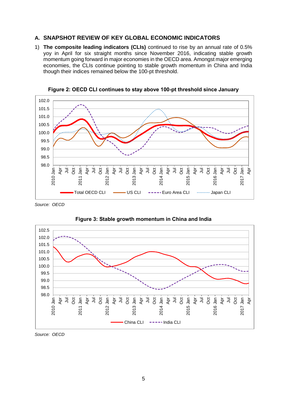### **A. SNAPSHOT REVIEW OF KEY GLOBAL ECONOMIC INDICATORS**

1) **The composite leading indicators (CLIs)** continued to rise by an annual rate of 0.5% yoy in April for six straight months since November 2016, indicating stable growth momentum going forward in major economies in the OECD area. Amongst major emerging economies, the CLIs continue pointing to stable growth momentum in China and India though their indices remained below the 100-pt threshold.



**Figure 2: OECD CLI continues to stay above 100-pt threshold since January**

*Source: OECD*



**Figure 3: Stable growth momentum in China and India**

*Source: OECD*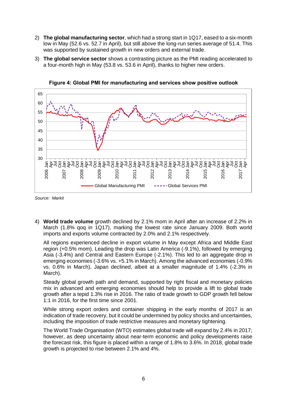- 2) **The global manufacturing sector**, which had a strong start in 1Q17, eased to a six-month low in May (52.6 vs. 52.7 in April), but still above the long-run series average of 51.4. This was supported by sustained growth in new orders and external trade.
- 3) **The global service sector** shows a contrasting picture as the PMI reading accelerated to a four-month high in May (53.8 vs. 53.6 in April), thanks to higher new orders.



**Figure 4: Global PMI for manufacturing and services show positive outlook**

*Source: Markit*

4) **World trade volume** growth declined by 2.1% mom in April after an increase of 2.2% in March (1.8% qoq in 1Q17), marking the lowest rate since January 2009. Both world imports and exports volume contracted by 2.0% and 2.1% respectively.

All regions experienced decline in export volume in May except Africa and Middle East region (+0.5% mom). Leading the drop was Latin America (-9.1%), followed by emerging Asia (-3.4%) and Central and Eastern Europe (-2.1%). This led to an aggregate drop in emerging economies (-3.6% vs. +5.1% in March). Among the advanced economies (-0.9% vs. 0.6% in March), Japan declined, albeit at a smaller magnitude of 1.4% (-2.3% in March).

Steady global growth path and demand, supported by right fiscal and monetary policies mix in advanced and emerging economies should help to provide a lift to global trade growth after a tepid 1.3% rise in 2016. The ratio of trade growth to GDP growth fell below 1:1 in 2016, for the first time since 2001.

While strong export orders and container shipping in the early months of 2017 is an indication of trade recovery, but it could be undermined by policy shocks and uncertainties, including the imposition of trade restrictive measures and monetary tightening.

The World Trade Organisation (WTO) estimates global trade will expand by 2.4% in 2017; however, as deep uncertainty about near-term economic and policy developments raise the forecast risk, this figure is placed within a range of 1.8% to 3.6%. In 2018, global trade growth is projected to rise between 2.1% and 4%.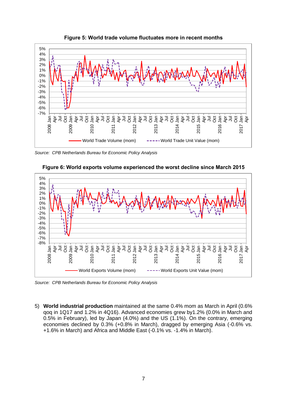

**Figure 5: World trade volume fluctuates more in recent months**

*Source: CPB Netherlands Bureau for Economic Policy Analysis*



**Figure 6: World exports volume experienced the worst decline since March 2015**

*Source: CPB Netherlands Bureau for Economic Policy Analysis*

5) **World industrial production** maintained at the same 0.4% mom as March in April (0.6% qoq in 1Q17 and 1.2% in 4Q16). Advanced economies grew by1.2% (0.0% in March and 0.5% in February), led by Japan (4.0%) and the US (1.1%). On the contrary, emerging economies declined by 0.3% (+0.8% in March), dragged by emerging Asia (-0.6% vs. +1.6% in March) and Africa and Middle East (-0.1% vs. -1.4% in March).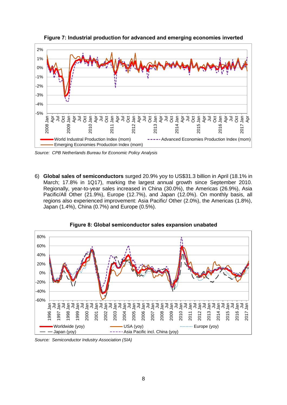

**Figure 7: Industrial production for advanced and emerging economies inverted**

*Source: CPB Netherlands Bureau for Economic Policy Analysis*

6) **Global sales of semiconductors** surged 20.9% yoy to US\$31.3 billion in April (18.1% in March; 17.8% in 1Q17), marking the largest annual growth since September 2010. Regionally, year-to-year sales increased in China (30.0%), the Americas (26.9%), Asia Pacific/All Other (21.9%), Europe (12.7%), and Japan (12.0%). On monthly basis, all regions also experienced improvement: Asia Pacific/ Other (2.0%), the Americas (1.8%), Japan (1.4%), China (0.7%) and Europe (0.5%).



**Figure 8: Global semiconductor sales expansion unabated**

*Source: Semiconductor Industry Association (SIA)*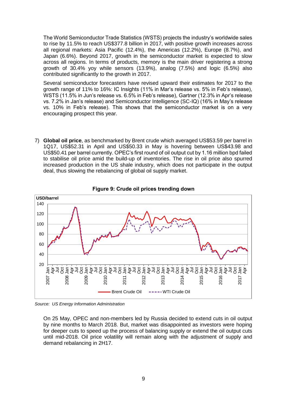The World Semiconductor Trade Statistics (WSTS) projects the industry's worldwide sales to rise by 11.5% to reach US\$377.8 billion in 2017, with positive growth increases across all regional markets: Asia Pacific (12.4%), the Americas (12.2%), Europe (8.7%), and Japan (6.6%). Beyond 2017, growth in the semiconductor market is expected to slow across all regions. In terms of products, memory is the main driver registering a strong growth of 30.4% yoy while sensors (13.9%), analog (7.5%) and logic (6.5%) also contributed significantly to the growth in 2017.

Several semiconductor forecasters have revised upward their estimates for 2017 to the growth range of 11% to 16%: IC Insights (11% in Mar's release vs. 5% in Feb's release), WSTS (11.5% in Jun's release vs. 6.5% in Feb's release), Gartner (12.3% in Apr's release vs. 7.2% in Jan's release) and Semiconductor Intelligence (SC-IQ) (16% in May's release vs. 10% in Feb's release). This shows that the semiconductor market is on a very encouraging prospect this year.

7) **Global oil price**, as benchmarked by Brent crude which averaged US\$53.59 per barrel in 1Q17, US\$52.31 in April and US\$50.33 in May is hovering between US\$43.98 and US\$50.41 per barrel currently. OPEC's first round of oil output cut by 1.16 million bpd failed to stabilise oil price amid the build-up of inventories. The rise in oil price also spurred increased production in the US shale industry, which does not participate in the output deal, thus slowing the rebalancing of global oil supply market.



**Figure 9: Crude oil prices trending down**

*Source: US Energy Information Administration*

On 25 May, OPEC and non-members led by Russia decided to extend cuts in oil output by nine months to March 2018. But, market was disappointed as investors were hoping for deeper cuts to speed up the process of balancing supply or extend the oil output cuts until mid-2018. Oil price volatility will remain along with the adjustment of supply and demand rebalancing in 2H17.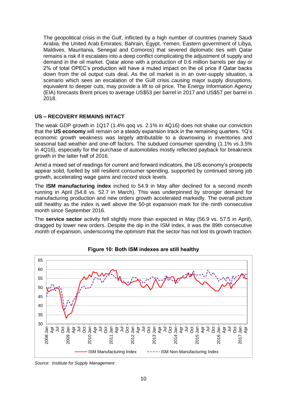The geopolitical crisis in the Gulf, inflicted by a high number of countries (namely Saudi Arabia, the United Arab Emirates, Bahrain, Egypt, Yemen, Eastern government of Libya, Maldives, Mauritania, Senegal and Comoros) that severed diplomatic ties with Qatar remains a risk if it escalates into a deep conflict complicating the adjustment of supply and demand in the oil market. Qatar alone with a production of 0.6 million barrels per day or 2% of total OPEC's production will have a muted impact on the oil price if Qatar backs down from the oil output cuts deal. As the oil market is in an over-supply situation, a scenario which sees an escalation of the Gulf crisis causing major supply disruptions, equivalent to deeper cuts, may provide a lift to oil price. The Energy Information Agency (EIA) forecasts Brent prices to average US\$53 per barrel in 2017 and US\$57 per barrel in 2018.

#### **US – RECOVERY REMAINS INTACT**

The weak GDP growth in 1Q17 (1.4% qoq vs. 2.1% in 4Q16) does not shake our conviction that the **US economy** will remain on a steady expansion track in the remaining quarters. 1Q's economic growth weakness was largely attributable to a downswing in inventories and seasonal bad weather and one-off factors. The subdued consumer spending (1.1% vs.3.5% in 4Q16), especially for the purchase of automobiles mostly reflected payback for breakneck growth in the latter half of 2016.

Amid a mixed set of readings for current and forward indicators, the US economy's prospects appear solid, fuelled by still resilient consumer spending, supported by continued strong job growth, accelerating wage gains and record stock levels.

The **ISM manufacturing index** inched to 54.9 in May after declined for a second month running in April (54.8 vs. 52.7 in March). This was underpinned by stronger demand for manufacturing production and new orders growth accelerated markedly. The overall picture still healthy as the index is well above the 50-pt expansion mark for the ninth consecutive month since September 2016.

The **service sector** activity fell slightly more than expected in May (56.9 vs. 57.5 in April), dragged by lower new orders. Despite the dip in the ISM index, it was the 89th consecutive month of expansion, underscoring the optimism that the sector has not lost its growth traction.



**Figure 10: Both ISM indexes are still healthy**

*Source: Institute for Supply Management*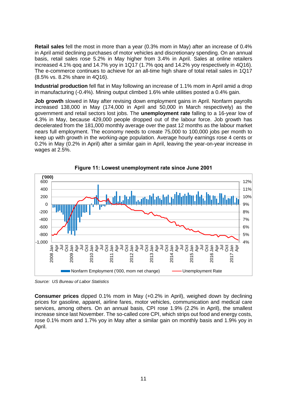**Retail sales** fell the most in more than a year (0.3% mom in May) after an increase of 0.4% in April amid declining purchases of motor vehicles and discretionary spending. On an annual basis, retail sales rose 5.2% in May higher from 3.4% in April. Sales at online retailers increased 4.1% qoq and 14.7% yoy in 1Q17 (1.7% qoq and 14.2% yoy respectively in 4Q16). The e-commerce continues to achieve for an all-time high share of total retail sales in 1Q17 (8.5% vs. 8.2% share in 4Q16).

**Industrial production** fell flat in May following an increase of 1.1% mom in April amid a drop in manufacturing (-0.4%). Mining output climbed 1.6% while utilities posted a 0.4% gain.

**Job growth** slowed in May after revising down employment gains in April. Nonfarm payrolls increased 138,000 in May (174,000 in April and 50,000 in March respectively) as the government and retail sectors lost jobs. The **unemployment rate** falling to a 16-year low of 4.3% in May, because 429,000 people dropped out of the labour force. Job growth has decelerated from the 181,000 monthly average over the past 12 months as the labour market nears full employment. The economy needs to create 75,000 to 100,000 jobs per month to keep up with growth in the working-age population. Average hourly earnings rose 4 cents or 0.2% in May (0.2% in April) after a similar gain in April, leaving the year-on-year increase in wages at 2.5%.





*Source: US Bureau of Labor Statistics*

**Consumer prices** dipped 0.1% mom in May (+0.2% in April), weighed down by declining prices for gasoline, apparel, airline fares, motor vehicles, communication and medical care services, among others. On an annual basis, CPI rose 1.9% (2.2% in April), the smallest increase since last November. The so-called core CPI, which strips out food and energy costs, rose 0.1% mom and 1.7% yoy in May after a similar gain on monthly basis and 1.9% yoy in April.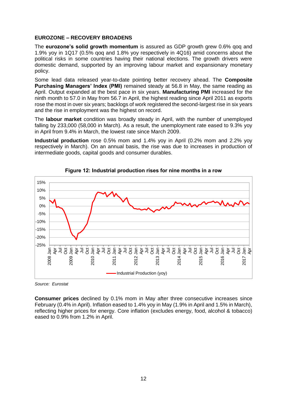#### **EUROZONE – RECOVERY BROADENS**

The **eurozone's solid growth momentum** is assured as GDP growth grew 0.6% qoq and 1.9% yoy in 1Q17 (0.5% qoq and 1.8% yoy respectively in 4Q16) amid concerns about the political risks in some countries having their national elections. The growth drivers were domestic demand, supported by an improving labour market and expansionary monetary policy.

Some lead data released year-to-date pointing better recovery ahead. The **Composite Purchasing Managers' Index (PMI)** remained steady at 56.8 in May, the same reading as April. Output expanded at the best pace in six years. **Manufacturing PMI** increased for the ninth month to 57.0 in May from 56.7 in April, the highest reading since April 2011 as exports rose the most in over six years; backlogs of work registered the second-largest rise in six years and the rise in employment was the highest on record.

The **labour market** condition was broadly steady in April, with the number of unemployed falling by 233,000 (58,000 in March). As a result, the unemployment rate eased to 9.3% yoy in April from 9.4% in March, the lowest rate since March 2009.

**Industrial production** rose 0.5% mom and 1.4% yoy in April (0.2% mom and 2.2% yoy respectively in March). On an annual basis, the rise was due to increases in production of intermediate goods, capital goods and consumer durables.



**Figure 12: Industrial production rises for nine months in a row**

*Source: Eurostat*

**Consumer prices** declined by 0.1% mom in May after three consecutive increases since February (0.4% in April). Inflation eased to 1.4% yoy in May (1.9% in April and 1.5% in March), reflecting higher prices for energy. Core inflation (excludes energy, food, alcohol & tobacco) eased to 0.9% from 1.2% in April.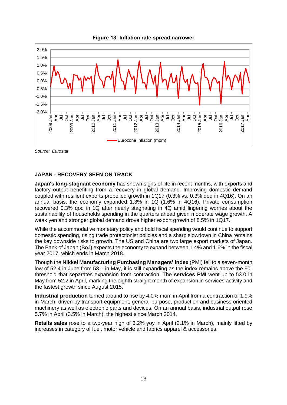



*Source: Eurostat*

### **JAPAN - RECOVERY SEEN ON TRACK**

**Japan's long-stagnant economy** has shown signs of life in recent months, with exports and factory output benefiting from a recovery in global demand. Improving domestic demand coupled with resilient exports propelled growth in 1Q17 (0.3% vs. 0.3% qoq in 4Q16). On an annual basis, the economy expanded 1.3% in 1Q (1.6% in 4Q16). Private consumption recovered 0.3% qoq in 1Q after nearly stagnating in 4Q amid lingering worries about the sustainability of households spending in the quarters ahead given moderate wage growth. A weak yen and stronger global demand drove higher export growth of 8.5% in 1Q17.

While the accommodative monetary policy and bold fiscal spending would continue to support domestic spending, rising trade protectionist policies and a sharp slowdown in China remains the key downside risks to growth. The US and China are two large export markets of Japan. The Bank of Japan (BoJ) expects the economy to expand between 1.4% and 1.6% in the fiscal year 2017, which ends in March 2018.

Though the **Nikkei Manufacturing Purchasing Managers' Index** (PMI) fell to a seven-month low of 52.4 in June from 53.1 in May, it is still expanding as the index remains above the 50 threshold that separates expansion from contraction. The **services PMI** went up to 53.0 in May from 52.2 in April, marking the eighth straight month of expansion in services activity and the fastest growth since August 2015.

**Industrial production** turned around to rise by 4.0% mom in April from a contraction of 1.9% in March, driven by transport equipment, general-purpose, production and business oriented machinery as well as electronic parts and devices. On an annual basis, industrial output rose 5.7% in April (3.5% in March), the highest since March 2014.

**Retails sales** rose to a two-year high of 3.2% yoy in April (2.1% in March), mainly lifted by increases in category of fuel, motor vehicle and fabrics apparel & accessories.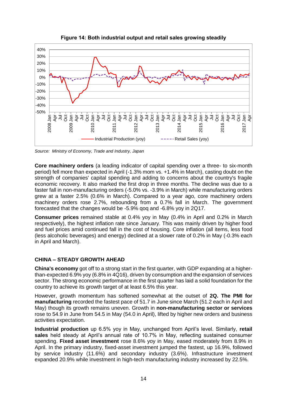

**Figure 14: Both industrial output and retail sales growing steadily**

*Source: Ministry of Economy, Trade and Industry, Japan*

**Core machinery orders** (a leading indicator of capital spending over a three- to six-month period) fell more than expected in April (-1.3% mom vs. +1.4% in March), casting doubt on the strength of companies' capital spending and adding to concerns about the country's fragile economic recovery. It also marked the first drop in three months. The decline was due to a faster fall in non-manufacturing orders (-5.0% vs. -3.9% in March) while manufacturing orders grew at a faster 2.5% (0.6% in March). Compared to a year ago, core machinery orders machinery orders rose 2.7%, rebounding from a 0.7% fall in March. The government forecasted that the changes would be -5.9% qoq and -6.8% yoy in 2Q17.

**Consumer prices** remained stable at 0.4% yoy in May (0.4% in April and 0.2% in March respectively), the highest inflation rate since January. This was mainly driven by higher food and fuel prices amid continued fall in the cost of housing. Core inflation (all items, less food (less alcoholic beverages) and energy) declined at a slower rate of 0.2% in May (-0.3% each in April and March).

# **CHINA – STEADY GROWTH AHEAD**

**China's economy** got off to a strong start in the first quarter, with GDP expanding at a higherthan-expected 6.9% yoy (6.8% in 4Q16), driven by consumption and the expansion of services sector. The strong economic performance in the first quarter has laid a solid foundation for the country to achieve its growth target of at least 6.5% this year.

However, growth momentum has softened somewhat at the outset of **2Q. The PMI for manufacturing** recorded the fastest pace of 51.7 in June since March (51.2 each in April and May) though its growth remains uneven. Growth in **non-manufacturing sector or services** rose to 54.9 in June from 54.5 in May (54.0 in April), lifted by higher new orders and business activities expectation.

**Industrial production** up 6.5% yoy in May, unchanged from April's level. Similarly, **retail sales** held steady at April's annual rate of 10.7% in May, reflecting sustained consumer spending. **Fixed asset investment** rose 8.6% yoy in May, eased moderately from 8.9% in April. In the primary industry, fixed-asset investment jumped the fastest, up 16.9%, followed by service industry (11.6%) and secondary industry (3.6%). Infrastructure investment expanded 20.9% while investment in high-tech manufacturing industry increased by 22.5%.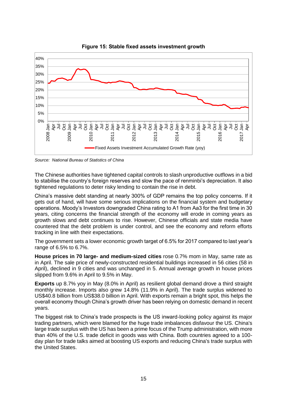

**Figure 15: Stable fixed assets investment growth**

*Source: National Bureau of Statistics of China*

The Chinese authorities have tightened capital controls to slash unproductive outflows in a bid to stabilise the country's foreign reserves and slow the pace of renminbi's depreciation. It also tightened regulations to deter risky lending to contain the rise in debt.

China's massive debt standing at nearly 300% of GDP remains the top policy concerns. If it gets out of hand, will have some serious implications on the financial system and budgetary operations. Moody's Investors downgraded China rating to A1 from Aa3 for the first time in 30 years, citing concerns the financial strength of the economy will erode in coming years as growth slows and debt continues to rise. However, Chinese officials and state media have countered that the debt problem is under control, and see the economy and reform efforts tracking in line with their expectations.

The government sets a lower economic growth target of 6.5% for 2017 compared to last year's range of 6.5% to 6.7%.

**House prices in 70 large- and medium-sized cities** rose 0.7% mom in May, same rate as in April. The sale price of newly-constructed residential buildings increased in 56 cities (58 in April), declined in 9 cities and was unchanged in 5. Annual average growth in house prices slipped from 9.6% in April to 9.5% in May.

**Exports** up 8.7% yoy in May (8.0% in April) as resilient global demand drove a third straight monthly increase. Imports also grew 14.8% (11.9% in April). The trade surplus widened to US\$40.8 billion from US\$38.0 billion in April. With exports remain a bright spot, this helps the overall economy though China's growth driver has been relying on domestic demand in recent years.

The biggest risk to China's trade prospects is the US inward-looking policy against its major trading partners, which were blamed for the huge trade imbalances disfavour the US. China's large trade surplus with the US has been a prime focus of the Trump administration, with more than 40% of the U.S. trade deficit in goods was with China. Both countries agreed to a 100 day plan for trade talks aimed at boosting US exports and reducing China's trade surplus with the United States.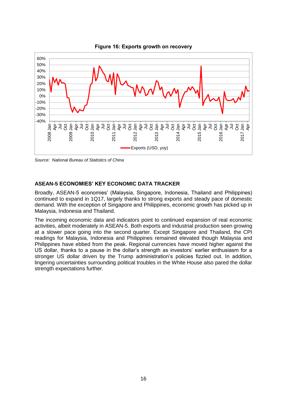

**Figure 16: Exports growth on recovery**

*Source: National Bureau of Statistics of China*

### **ASEAN-5 ECONOMIES' KEY ECONOMIC DATA TRACKER**

Broadly, ASEAN-5 economies' (Malaysia, Singapore, Indonesia, Thailand and Philippines) continued to expand in 1Q17, largely thanks to strong exports and steady pace of domestic demand. With the exception of Singapore and Philippines, economic growth has picked up in Malaysia, Indonesia and Thailand.

The incoming economic data and indicators point to continued expansion of real economic activities, albeit moderately in ASEAN-5. Both exports and industrial production seen growing at a slower pace going into the second quarter. Except Singapore and Thailand, the CPI readings for Malaysia, Indonesia and Philippines remained elevated though Malaysia and Philippines have ebbed from the peak. Regional currencies have moved higher against the US dollar, thanks to a pause in the dollar's strength as investors' earlier enthusiasm for a stronger US dollar driven by the Trump administration's policies fizzled out. In addition, lingering uncertainties surrounding political troubles in the White House also pared the dollar strength expectations further.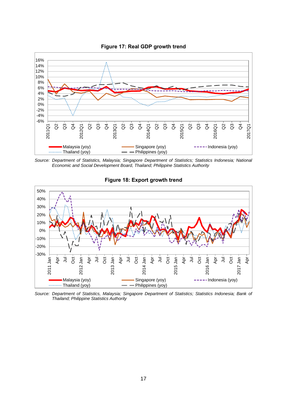

**Figure 17: Real GDP growth trend**

*Source: Department of Statistics, Malaysia; Singapore Department of Statistics; Statistics Indonesia; National Economic and Social Development Board, Thailand; Philippine Statistics Authority*



**Figure 18: Export growth trend**

*Source: Department of Statistics, Malaysia; Singapore Department of Statistics; Statistics Indonesia; Bank of Thailand; Philippine Statistics Authority*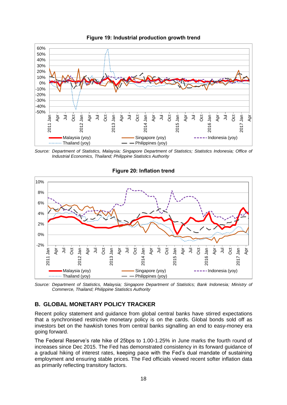

**Figure 19: Industrial production growth trend**

*Source: Department of Statistics, Malaysia; Singapore Department of Statistics; Statistics Indonesia; Office of Industrial Economics, Thailand; Philippine Statistics Authority*



### **Figure 20: Inflation trend**

*Source: Department of Statistics, Malaysia; Singapore Department of Statistics; Bank Indonesia; Ministry of Commerce, Thailand; Philippine Statistics Authority*

# **B. GLOBAL MONETARY POLICY TRACKER**

Recent policy statement and guidance from global central banks have stirred expectations that a synchronised restrictive monetary policy is on the cards. Global bonds sold off as investors bet on the hawkish tones from central banks signalling an end to easy-money era going forward.

The Federal Reserve's rate hike of 25bps to 1.00-1.25% in June marks the fourth round of increases since Dec 2015. The Fed has demonstrated consistency in its forward guidance of a gradual hiking of interest rates, keeping pace with the Fed's dual mandate of sustaining employment and ensuring stable prices. The Fed officials viewed recent softer inflation data as primarily reflecting transitory factors.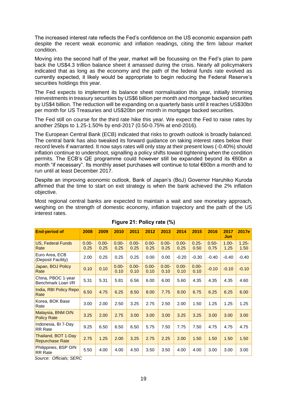The increased interest rate reflects the Fed's confidence on the US economic expansion path despite the recent weak economic and inflation readings, citing the firm labour market condition.

Moving into the second half of the year, market will be focussing on the Fed's plan to pare back the US\$4.3 trillion balance sheet it amassed during the crisis. Nearly all policymakers indicated that as long as the economy and the path of the federal funds rate evolved as currently expected, it likely would be appropriate to begin reducing the Federal Reserve's securities holdings this year.

The Fed expects to implement its balance sheet normalisation this year, initially trimming reinvestments in treasury securities by US\$6 billion per month and mortgage backed securities by US\$4 billion. The reduction will be expanding on a quarterly basis until it reaches US\$30bn per month for US Treasuries and US\$20bn per month in mortgage backed securities.

The Fed still on course for the third rate hike this year. We expect the Fed to raise rates by another 25bps to 1.25-1.50% by end-2017 (0.50-0.75% at end-2016).

The European Central Bank (ECB) indicated that risks to growth outlook is broadly balanced. The central bank has also tweaked its forward guidance on taking interest rates below their record levels if warranted. It now says rates will only stay at their present lows (-0.40%) should inflation continue to undershoot, signalling a policy shifts toward tightening when the condition permits. The ECB's QE programme could however still be expanded beyond its €60bn a month "if necessary". Its monthly asset purchases will continue to total €60bn a month and to run until at least December 2017.

Despite an improving economic outlook, Bank of Japan's (BoJ) Governor Haruhiko Kuroda affirmed that the time to start on exit strategy is when the bank achieved the 2% inflation objective.

Most regional central banks are expected to maintain a wait and see monetary approach, weighing on the strength of domestic economy, inflation trajectory and the path of the US interest rates.

| <b>End-period of</b>                          | 2008             | 2009             | 2010             | 2011             | 2012             | 2013             | 2014             | 2015             | 2016             | 2017<br>Jun      | 2017e            |
|-----------------------------------------------|------------------|------------------|------------------|------------------|------------------|------------------|------------------|------------------|------------------|------------------|------------------|
| <b>US, Federal Funds</b><br>Rate              | $0.00 -$<br>0.25 | $0.00 -$<br>0.25 | $0.00 -$<br>0.25 | $0.00 -$<br>0.25 | $0.00 -$<br>0.25 | $0.00 -$<br>0.25 | $0.00 -$<br>0.25 | $0.25 -$<br>0.50 | $0.50 -$<br>0.75 | $1.00 -$<br>1.25 | $1.25 -$<br>1.50 |
| Euro Area, ECB<br>(Deposit Facility)          | 2.00             | 0.25             | 0.25             | 0.25             | 0.00             | 0.00             | $-0.20$          | $-0.30$          | $-0.40$          | $-0.40$          | $-0.40$          |
| Japan, BOJ Policy<br>Rate                     | 0.10             | 0.10             | $0.00 -$<br>0.10 | $0.00 -$<br>0.10 | $0.00 -$<br>0.10 | $0.00 -$<br>0.10 | $0.00 -$<br>0.10 | $0.00 -$<br>0.10 | $-0.10$          | $-0.10$          | $-0.10$          |
| China, PBOC 1-year<br>Benchmark Loan I/R      | 5.31             | 5.31             | 5.81             | 6.56             | 6.00             | 6.00             | 5.60             | 4.35             | 4.35             | 4.35             | 4.60             |
| India, RBI Policy Repo<br>Rate                | 6.50             | 4.75             | 6.25             | 8.50             | 8.00             | 7.75             | 8.00             | 6.75             | 6.25             | 6.25             | 6.00             |
| Korea, BOK Base<br>Rate                       | 3.00             | 2.00             | 2.50             | 3.25             | 2.75             | 2.50             | 2.00             | 1.50             | 1.25             | 1.25             | 1.25             |
| Malaysia, BNM O/N<br><b>Policy Rate</b>       | 3.25             | 2.00             | 2.75             | 3.00             | 3.00             | 3.00             | 3.25             | 3.25             | 3.00             | 3.00             | 3.00             |
| Indonesia, BI 7-Day<br><b>RR</b> Rate         | 9.25             | 6.50             | 6.50             | 6.50             | 5.75             | 7.50             | 7.75             | 7.50             | 4.75             | 4.75             | 4.75             |
| Thailand, BOT 1-Day<br><b>Repurchase Rate</b> | 2.75             | 1.25             | 2.00             | 3.25             | 2.75             | 2.25             | 2.00             | 1.50             | 1.50             | 1.50             | 1.50             |
| Philippines, BSP O/N<br><b>RR</b> Rate        | 5.50             | 4.00             | 4.00             | 4.50             | 3.50             | 3.50             | 4.00             | 4.00             | 3.00             | 3.00             | 3.00             |

### **Figure 21: Policy rate (%)**

*Source: Officials; SERC*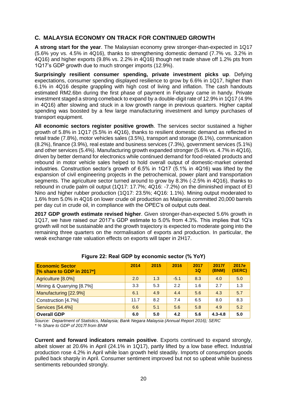# **C. MALAYSIA ECONOMY ON TRACK FOR CONTINUED GROWTH**

**A strong start for the year**. The Malaysian economy grew stronger-than-expected in 1Q17 (5.6% yoy vs. 4.5% in 4Q16), thanks to strengthening domestic demand (7.7% vs. 3.2% in 4Q16) and higher exports (9.8% vs. 2.2% in 4Q16) though net trade shave off 1.2% pts from 1Q17's GDP growth due to much stronger imports (12.9%).

**Surprisingly resilient consumer spending, private investment picks up**. Defying expectations, consumer spending displayed resilience to grow by 6.6% in 1Q17, higher than 6.1% in 4Q16 despite grappling with high cost of living and inflation. The cash handouts estimated RM2.6bn during the first phase of payment in February came in handy. Private investment staged a strong comeback to expand by a double-digit rate of 12.9% in 1Q17 (4.9% in 4Q16) after slowing and stuck in a low growth range in previous quarters. Higher capital spending was boosted by a few large manufacturing investment and lumpy purchases of transport equipment.

**All economic sectors register positive growth**. The services sector sustained a higher growth of 5.8% in 1Q17 (5.5% in 4Q16), thanks to resilient domestic demand as reflected in retail trade (7.8%), motor vehicles sales (3.5%), transport and storage (6.1%), communication (8.2%), finance (3.9%), real estate and business services (7.3%), government services (5.1%) and other services (5.4%). Manufacturing growth expanded stronger (5.6% vs. 4.7% in 4Q16), driven by better demand for electronics while continued demand for food-related products and rebound in motor vehicle sales helped to hold overall output of domestic-market oriented industries. Construction sector's growth of 6.5% in 1Q17 (5.1% in 4Q16) was lifted by the expansion of civil engineering projects in the petrochemical, power plant and transportation segments. The agriculture sector turned around to grow by 8.3% (-2.5% in 4Q16), thanks to rebound in crude palm oil output (1Q17: 17.7%; 4Q16: -7.2%) on the diminished impact of El Nino and higher rubber production (1Q17: 23.5%; 4Q16: 1.1%). Mining output moderated to 1.6% from 5.0% in 4Q16 on lower crude oil production as Malaysia committed 20,000 barrels per day cut in crude oil, in compliance with the OPEC's oil output cuts deal.

**2017 GDP growth estimate revised higher**. Given stronger-than-expected 5.6% growth in 1Q17, we have raised our 2017's GDP estimate to 5.0% from 4.3%. This implies that 1Q's growth will not be sustainable and the growth trajectory is expected to moderate going into the remaining three quarters on the normalisation of exports and production. In particular, the weak exchange rate valuation effects on exports will taper in 2H17.

| <b>Economic Sector</b><br>[% share to GDP in 2017*] | 2014 | 2015 | 2016   | 2017<br>1Q | 2017f<br><b>(BNM)</b> | 2017e<br>(SERC) |
|-----------------------------------------------------|------|------|--------|------------|-----------------------|-----------------|
| Agriculture [8.0%]                                  | 2.0  | 1.3  | $-5.1$ | 8.3        | 4.0                   | 5.0             |
| Mining & Quarrying [8.7%]                           | 3.3  | 5.3  | 2.2    | 1.6        | 2.7                   | 1.3             |
| Manufacturing [22.9%]                               | 6.1  | 4.9  | 4.4    | 5.6        | 4.3                   | 5.7             |
| Construction [4.7%]                                 | 11.7 | 8.2  | 7.4    | 6.5        | 8.0                   | 8.3             |
| <b>Services [54.4%]</b>                             | 6.6  | 5.1  | 5.6    | 5.8        | 4.9                   | 5.2             |
| <b>Overall GDP</b>                                  | 6.0  | 5.0  | 4.2    | 5.6        | $4.3 - 4.8$           | 5.0             |

# **Figure 22: Real GDP by economic sector (% YoY)**

*Source: Department of Statistics, Malaysia; Bank Negara Malaysia (Annual Report 2016); SERC \* % Share to GDP of 2017f from BNM*

**Current and forward indicators remain positive**. Exports continued to expand strongly, albeit slower at 20.6% in April (24.1% in 1Q17), partly lifted by a low base effect. Industrial production rose 4.2% in April while loan growth held steadily. Imports of consumption goods pulled back sharply in April. Consumer sentiment improved but not so upbeat while business sentiments rebounded strongly.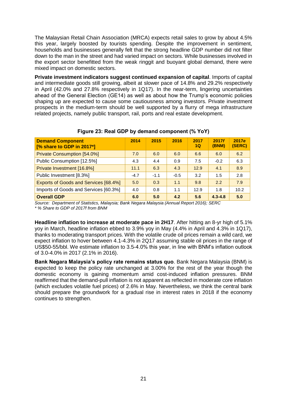The Malaysian Retail Chain Association (MRCA) expects retail sales to grow by about 4.5% this year, largely boosted by tourists spending. Despite the improvement in sentiment, households and businesses generally felt that the strong headline GDP number did not filter down to the man in the street and had varied impact on sectors. While businesses involved in the export sector benefitted from the weak ringgit and buoyant global demand, there were mixed impact on domestic sectors.

**Private investment indicators suggest continued expansion of capital**. Imports of capital and intermediate goods still growing, albeit at slower pace of 14.8% and 29.2% respectively in April (42.0% and 27.8% respectively in 1Q17). In the near-term, lingering uncertainties ahead of the General Election (GE14) as well as about how the Trump's economic policies shaping up are expected to cause some cautiousness among investors. Private investment prospects in the medium-term should be well supported by a flurry of mega infrastructure related projects, namely public transport, rail, ports and real estate development.

| <b>Demand Component</b><br>[% share to GDP in 2017*] | 2014   | 2015   | 2016   | 2017<br>1Q | 2017f<br>(BNM) | 2017e<br>(SERC) |
|------------------------------------------------------|--------|--------|--------|------------|----------------|-----------------|
| <b>Private Consumption [54.0%]</b>                   | 7.0    | 6.0    | 6.0    | 6.6        | 6.0            | 6.2             |
| Public Consumption [12.5%]                           | 4.3    | 4.4    | 0.9    | 7.5        | $-0.2$         | 6.3             |
| Private Investment [16.8%]                           | 11.1   | 6.3    | 4.3    | 12.9       | 4.1            | 8.9             |
| Public Investment [8.3%]                             | $-4.7$ | $-1.1$ | $-0.5$ | 3.2        | 1.5            | 2.8             |
| Exports of Goods and Services [68.4%]                | 5.0    | 0.3    | 1.1    | 9.8        | 2.2            | 7.9             |
| Imports of Goods and Services [60.3%]                | 4.0    | 0.8    | 1.1    | 12.9       | 1.8            | 10.2            |
| <b>Overall GDP</b>                                   | 6.0    | 5.0    | 4.2    | 5.6        | $4.3 - 4.8$    | 5.0             |

### **Figure 23: Real GDP by demand component (% YoY)**

*Source: Department of Statistics, Malaysia; Bank Negara Malaysia (Annual Report 2016); SERC \* % Share to GDP of 2017f from BNM*

**Headline inflation to increase at moderate pace in 2H17**. After hitting an 8-yr high of 5.1% yoy in March, headline inflation ebbed to 3.9% yoy in May (4.4% in April and 4.3% in 1Q17), thanks to moderating transport prices. With the volatile crude oil prices remain a wild card, we expect inflation to hover between 4.1-4.3% in 2Q17 assuming stable oil prices in the range of US\$50-55/bbl. We estimate inflation to 3.5-4.0% this year, in line with BNM's inflation outlook of 3.0-4.0% in 2017 (2.1% in 2016).

**Bank Negara Malaysia's policy rate remains status quo**. Bank Negara Malaysia (BNM) is expected to keep the policy rate unchanged at 3.00% for the rest of the year though the domestic economy is gaining momentum amid cost-induced inflation pressures. BNM reaffirmed that the demand-pull inflation is not apparent as reflected in moderate core inflation (which excludes volatile fuel prices) of 2.6% in May. Nevertheless, we think the central bank should prepare the groundwork for a gradual rise in interest rates in 2018 if the economy continues to strengthen.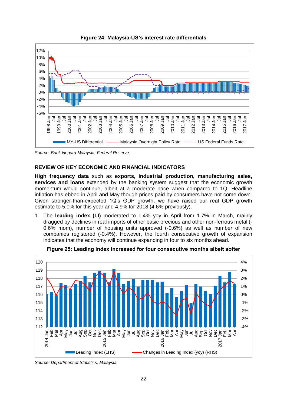

**Figure 24: Malaysia-US's interest rate differentials**

*Source: Bank Negara Malaysia; Federal Reserve*

### **REVIEW OF KEY ECONOMIC AND FINANCIAL INDICATORS**

**High frequency data** such as **exports, industrial production, manufacturing sales, services and loans** extended by the banking system suggest that the economic growth momentum would continue, albeit at a moderate pace when compared to 1Q. Headline inflation has ebbed in April and May though prices paid by consumers have not come down. Given stronger-than-expected 1Q's GDP growth, we have raised our real GDP growth estimate to 5.0% for this year and 4.9% for 2018 (4.6% previously).

1. The **leading index (LI)** moderated to 1.4% yoy in April from 1.7% in March, mainly dragged by declines in real imports of other basic precious and other non-ferrous metal (- 0.6% mom), number of housing units approved (-0.6%) as well as number of new companies registered (-0.4%). However, the fourth consecutive growth of expansion indicates that the economy will continue expanding in four to six months ahead.



**Figure 25: Leading index increased for four consecutive months albeit softer**

*Source: Department of Statistics, Malaysia*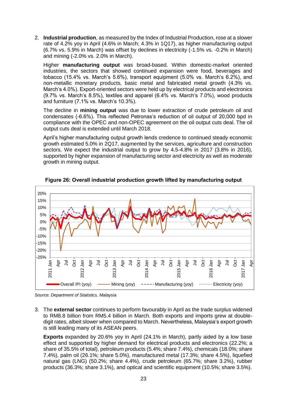2. **Industrial production**, as measured by the Index of Industrial Production, rose at a slower rate of 4.2% yoy in April (4.6% in March; 4.3% in 1Q17), as higher manufacturing output (6.7% vs. 5.9% in March) was offset by declines in electricity (-1.5% vs. -0.2% in March) and mining (-2.0% vs. 2.0% in March).

Higher **manufacturing output** was broad-based. Within domestic-market oriented industries, the sectors that showed continued expansion were food, beverages and tobacco (15.4% vs. March's 5.6%), transport equipment (5.0% vs. March's 6.2%), and non-metallic monetary products, basic metal and fabricated metal growth (4.3% vs. March's 4.0%). Export-oriented sectors were held up by electrical products and electronics (9.7% vs. March's 8.5%), textiles and apparel (6.4% vs. March's 7.0%), wood products and furniture (7.1% vs. March's 10.3%).

The decline in **mining output** was due to lower extraction of crude petroleum oil and condensates (-6.6%). This reflected Petronas's reduction of oil output of 20,000 bpd in compliance with the OPEC and non-OPEC agreement on the oil output cuts deal. The oil output cuts deal is extended until March 2018.

April's higher manufacturing output growth lends credence to continued steady economic growth estimated 5.0% in 2Q17, augmented by the services, agriculture and construction sectors. We expect the industrial output to grow by 4.5-4.8% in 2017 (3.8% in 2016), supported by higher expansion of manufacturing sector and electricity as well as moderate growth in mining output.



**Figure 26: Overall industrial production growth lifted by manufacturing output**

*Source: Department of Statistics, Malaysia*

3. The **external sector** continues to perform favourably in April as the trade surplus widened to RM8.8 billion from RM5.4 billion in March. Both exports and imports grew at doubledigit rates, albeit slower when compared to March. Nevertheless, Malaysia's export growth is still leading many of its ASEAN peers.

**Exports** expanded by 20.6% yoy in April (24.1% in March), partly aided by a low base effect and supported by higher demand for electrical products and electronics (22.2%; a share of 35.5% of total), petroleum products (5.4%; share 7.4%), chemicals (18.0%; share 7.4%), palm oil (26.1%; share 5.0%), manufactured metal (17.3%; share 4.5%), liquefied natural gas (LNG) (50.2%; share 4.4%), crude petroleum (65.7%; share 3.2%), rubber products (36.3%; share 3.1%), and optical and scientific equipment (10.5%; share 3.5%).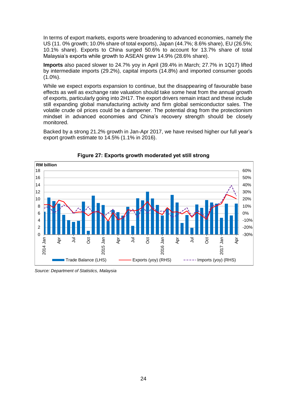In terms of export markets, exports were broadening to advanced economies, namely the US (11. 0% growth; 10.0% share of total exports), Japan (44.7%; 8.6% share), EU (26.5%; 10.1% share). Exports to China surged 50.6% to account for 13.7% share of total Malaysia's exports while growth to ASEAN grew 14.9% (28.6% share).

**Imports** also paced slower to 24.7% yoy in April (39.4% in March; 27.7% in 1Q17) lifted by intermediate imports (29.2%), capital imports (14.8%) and imported consumer goods  $(1.0\%)$ .

While we expect exports expansion to continue, but the disappearing of favourable base effects as well as exchange rate valuation should take some heat from the annual growth of exports, particularly going into 2H17. The export drivers remain intact and these include still expanding global manufacturing activity and firm global semiconductor sales. The volatile crude oil prices could be a dampener. The potential drag from the protectionism mindset in advanced economies and China's recovery strength should be closely monitored.

Backed by a strong 21.2% growth in Jan-Apr 2017, we have revised higher our full year's export growth estimate to 14.5% (1.1% in 2016).



**Figure 27: Exports growth moderated yet still strong**

*Source: Department of Statistics, Malaysia*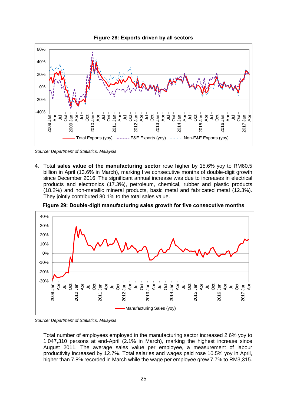

*Source: Department of Statistics, Malaysia*

4. Total **sales value of the manufacturing sector** rose higher by 15.6% yoy to RM60.5 billion in April (13.6% in March), marking five consecutive months of double-digit growth since December 2016. The significant annual increase was due to increases in electrical products and electronics (17.3%), petroleum, chemical, rubber and plastic products (18.2%) and non-metallic mineral products, basic metal and fabricated metal (12.3%). They jointly contributed 80.1% to the total sales value.



**Figure 29: Double-digit manufacturing sales growth for five consecutive months**

*Source: Department of Statistics, Malaysia*

Total number of employees employed in the manufacturing sector increased 2.6% yoy to 1,047,310 persons at end-April (2.1% in March), marking the highest increase since August 2011. The average sales value per employee, a measurement of labour productivity increased by 12.7%. Total salaries and wages paid rose 10.5% yoy in April, higher than 7.8% recorded in March while the wage per employee grew 7.7% to RM3,315.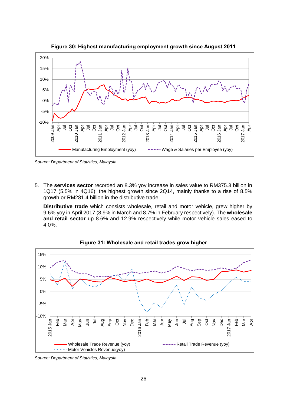

**Figure 30: Highest manufacturing employment growth since August 2011**

*Source: Department of Statistics, Malaysia*

5. The **services sector** recorded an 8.3% yoy increase in sales value to RM375.3 billion in 1Q17 (5.5% in 4Q16), the highest growth since 2Q14, mainly thanks to a rise of 8.5% growth or RM281.4 billion in the distributive trade.

**Distributive trade** which consists wholesale, retail and motor vehicle, grew higher by 9.6% yoy in April 2017 (8.9% in March and 8.7% in February respectively). The **wholesale and retail sector** up 8.6% and 12.9% respectively while motor vehicle sales eased to 4.0%.



**Figure 31: Wholesale and retail trades grow higher**

*Source: Department of Statistics, Malaysia*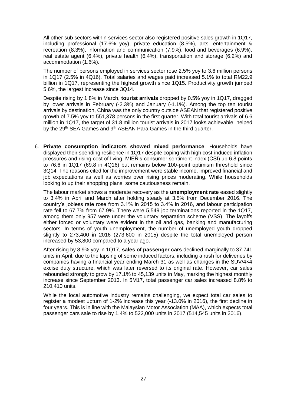All other sub sectors within services sector also registered positive sales growth in 1Q17, including professional (17.6% yoy), private education (8.5%), arts, entertainment & recreation (8.3%), information and communication (7.9%), food and beverages (6.9%), real estate agent (6.4%), private health (6.4%), transportation and storage (6.2%) and accommodation (1.6%).

The number of persons employed in services sector rose 2.5% yoy to 3.6 million persons in 1Q17 (2.5% in 4Q16). Total salaries and wages paid increased 5.1% to total RM22.9 billion in 1Q17, representing the highest growth since 1Q15. Productivity growth jumped 5.6%, the largest increase since 3Q14.

Despite rising by 1.8% in March, **tourist arrivals** dropped by 0.5% yoy in 1Q17, dragged by lower arrivals in February (-2.3%) and January (-1.1%). Among the top ten tourist arrivals by destination, China was the only country outside ASEAN that registered positive growth of 7.5% yoy to 551,378 persons in the first quarter. With total tourist arrivals of 6.6 million in 1Q17, the target of 31.8 million tourist arrivals in 2017 looks achievable, helped by the 29<sup>th</sup> SEA Games and 9<sup>th</sup> ASEAN Para Games in the third quarter.

6. **Private consumption indicators showed mixed performance**. Households have displayed their spending resilience in 1Q17 despite coping with high cost-induced inflation pressures and rising cost of living. MIER's consumer sentiment index (CSI) up 6.8 points to 76.6 in 1Q17 (69.8 in 4Q16) but remains below 100-point optimism threshold since 3Q14. The reasons cited for the improvement were stable income, improved financial and job expectations as well as worries over rising prices moderating. While households looking to up their shopping plans, some cautiousness remain.

The labour market shows a moderate recovery as the **unemployment rate** eased slightly to 3.4% in April and March after holding steady at 3.5% from December 2016. The country's jobless rate rose from 3.1% in 2015 to 3.4% in 2016, and labour participation rate fell to 67.7% from 67.9%. There were 5,549 job terminations reported in the 1Q17, among them only 957 were under the voluntary separation scheme (VSS). The layoffs either forced or voluntary were evident in the oil and gas, banking and manufacturing sectors. In terms of youth unemployment, the number of unemployed youth dropped slightly to 273,400 in 2016 (273,600 in 2015) despite the total unemployed person increased by 53,800 compared to a year ago.

After rising by 8.9% yoy in 1Q17, **sales of passenger cars** declined marginally to 37,741 units in April, due to the lapsing of some induced factors, including a rush for deliveries by companies having a financial year ending March 31 as well as changes in the SUV/4×4 excise duty structure, which was later reversed to its original rate. However, car sales rebounded strongly to grow by 17.1% to 45,139 units in May, marking the highest monthly increase since September 2013. In 5M17, total passenger car sales increased 8.8% to 210,410 units.

While the local automotive industry remains challenging, we expect total car sales to register a modest upturn of 1-2% increase this year (-13.0% in 2016), the first decline in four years. This is in line with the Malaysian Motor Association (MAA), which expects total passenger cars sale to rise by 1.4% to 522,000 units in 2017 (514,545 units in 2016).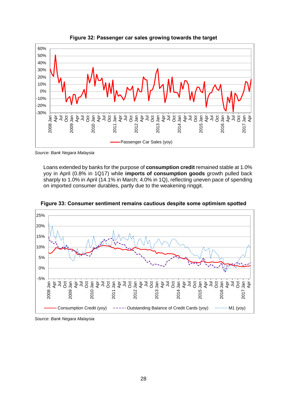

**Figure 32: Passenger car sales growing towards the target**

*Source: Bank Negara Malaysia*

Loans extended by banks for the purpose of **consumption credit** remained stable at 1.0% yoy in April (0.8% in 1Q17) while **imports of consumption goods** growth pulled back sharply to 1.0% in April (14.1% in March; 4.0% in 1Q), reflecting uneven pace of spending on imported consumer durables, partly due to the weakening ringgit.



**Figure 33: Consumer sentiment remains cautious despite some optimism spotted**

*Source: Bank Negara Malaysia*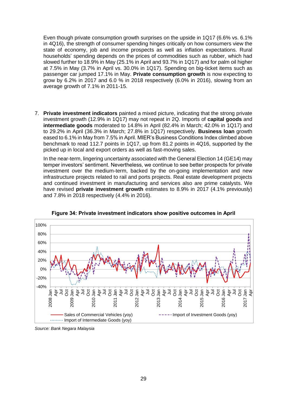Even though private consumption growth surprises on the upside in 1Q17 (6.6% vs. 6.1% in 4Q16), the strength of consumer spending hinges critically on how consumers view the state of economy, job and income prospects as well as inflation expectations. Rural households' spending depends on the prices of commodities such as rubber, which had slowed further to 18.9% in May (25.1% in April and 93.7% in 1Q17) and for palm oil higher at 7.5% in May (3.7% in April vs. 30.0% in 1Q17). Spending on big-ticket items such as passenger car jumped 17.1% in May. **Private consumption growth** is now expecting to grow by 6.2% in 2017 and 6.0 % in 2018 respectively (6.0% in 2016), slowing from an average growth of 7.1% in 2011-15.

7. **Private investment indicators** painted a mixed picture, indicating that the strong private investment growth (12.9% in 1Q17) may not repeat in 2Q. Imports of **capital goods** and **intermediate goods** moderated to 14.8% in April (82.4% in March; 42.0% in 1Q17) and to 29.2% in April (36.3% in March; 27.8% in 1Q17) respectively. **Business loan** growth eased to 6.1% in May from 7.5% in April. MIER's Business Conditions Index climbed above benchmark to read 112.7 points in 1Q17, up from 81.2 points in 4Q16, supported by the picked up in local and export orders as well as fast-moving sales.

In the near-term, lingering uncertainty associated with the General Election 14 (GE14) may temper investors' sentiment. Nevertheless, we continue to see better prospects for private investment over the medium-term, backed by the on-going implementation and new infrastructure projects related to rail and ports projects. Real estate development projects and continued investment in manufacturing and services also are prime catalysts. We have revised **private investment growth** estimates to 8.9% in 2017 (4.1% previously) and 7.8% in 2018 respectively (4.4% in 2016).



**Figure 34: Private investment indicators show positive outcomes in April**

*Source: Bank Negara Malaysia*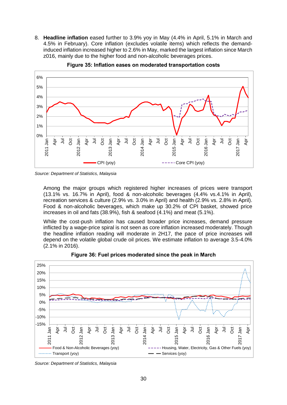8. **Headline inflation** eased further to 3.9% yoy in May (4.4% in April, 5.1% in March and 4.5% in February). Core inflation (excludes volatile items) which reflects the demandinduced inflation increased higher to 2.6% in May, marked the largest inflation since March z016, mainly due to the higher food and non-alcoholic beverages prices.



**Figure 35: Inflation eases on moderated transportation costs**

*Source: Department of Statistics, Malaysia*

Among the major groups which registered higher increases of prices were transport (13.1% vs. 16.7% in April), food & non-alcoholic beverages (4.4% vs.4.1% in April), recreation services & culture (2.9% vs. 3.0% in April) and health (2.9% vs. 2.8% in April). Food & non-alcoholic beverages, which make up 30.2% of CPI basket, showed price increases in oil and fats (38.9%), fish & seafood (4.1%) and meat (5.1%).

While the cost-push inflation has caused broader price increases, demand pressure inflicted by a wage-price spiral is not seen as core inflation increased moderately. Though the headline inflation reading will moderate in 2H17, the pace of price increases will depend on the volatile global crude oil prices. We estimate inflation to average 3.5-4.0% (2.1% in 2016).



**Figure 36: Fuel prices moderated since the peak in March**

*Source: Department of Statistics, Malaysia*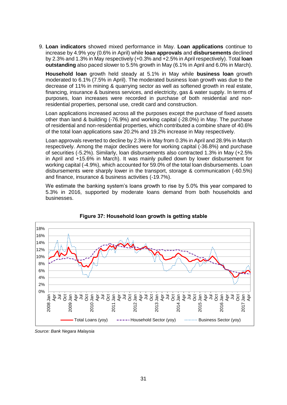9. **Loan indicators** showed mixed performance in May. **Loan applications** continue to increase by 4.9% yoy (0.6% in April) while **loan approvals** and **disbursements** declined by 2.3% and 1.3% in May respectively (+0.3% and +2.5% in April respectively). Total **loan outstanding** also paced slower to 5.5% growth in May (6.1% in April and 6.0% in March).

**Household loan** growth held steady at 5.1% in May while **business loan** growth moderated to 6.1% (7.5% in April). The moderated business loan growth was due to the decrease of 11% in mining & quarrying sector as well as softened growth in real estate, financing, insurance & business services, and electricity, gas & water supply. In terms of purposes, loan increases were recorded in purchase of both residential and nonresidential properties, personal use, credit card and construction.

Loan applications increased across all the purposes except the purchase of fixed assets other than land & building (-76.9%) and working capital (-28.0%) in May. The purchase of residential and non-residential properties, which contributed a combine share of 40.6% of the total loan applications saw 20.2% and 19.2% increase in May respectively.

Loan approvals reverted to decline by 2.3% in May from 0.3% in April and 28.9% in March respectively. Among the major declines were for working capital (-36.8%) and purchase of securities (-5.2%). Similarly, loan disbursements also contracted 1.3% in May (+2.5% in April and +15.6% in March). It was mainly pulled down by lower disbursement for working capital (-4.9%), which accounted for 59.0% of the total loan disbursements. Loan disbursements were sharply lower in the transport, storage & communication (-60.5%) and finance, insurance & business activities (-19.7%).

We estimate the banking system's loans growth to rise by 5.0% this year compared to 5.3% in 2016, supported by moderate loans demand from both households and businesses.





*Source: Bank Negara Malaysia*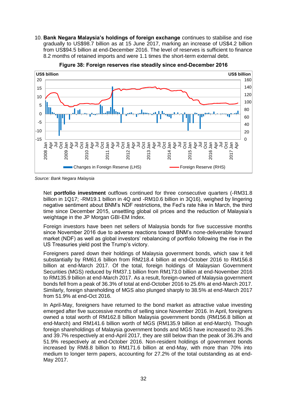10. **Bank Negara Malaysia's holdings of foreign exchange** continues to stabilise and rise gradually to US\$98.7 billion as at 15 June 2017, marking an increase of US\$4.2 billion from US\$94.5 billion at end-December 2016. The level of reserves is sufficient to finance 8.2 months of retained imports and were 1.1 times the short-term external debt.



**Figure 38: Foreign reserves rise steadily since end-December 2016**

*Source: Bank Negara Malaysia*

Net **portfolio investment** outflows continued for three consecutive quarters (-RM31.8 billion in 1Q17; -RM19.1 billion in 4Q and -RM10.6 billion in 3Q16), weighed by lingering negative sentiment about BNM's NDF restrictions, the Fed's rate hike in March, the third time since December 2015, unsettling global oil prices and the reduction of Malaysia's weightage in the JP Morgan GBI-EM Index.

Foreign investors have been net sellers of Malaysia bonds for five successive months since November 2016 due to adverse reactions toward BNM's none-deliverable forward market (NDF) as well as global investors' rebalancing of portfolio following the rise in the US Treasuries yield post the Trump's victory.

Foreigners pared down their holdings of Malaysia government bonds, which saw it fell substantially by RM61.6 billion from RM218.4 billion at end-October 2016 to RM156.8 billion at end-March 2017. Of the total, foreign holdings of Malaysian Government Securities (MGS) reduced by RM37.1 billion from RM173.0 billion at end-November 2016 to RM135.9 billion at end-March 2017. As a result, foreign-owned of Malaysia government bonds fell from a peak of 36.3% of total at end-October 2016 to 25.6% at end-March 2017. Similarly, foreign shareholding of MGS also plunged sharply to 38.5% at end-March 2017 from 51.9% at end-Oct 2016.

In April-May, foreigners have returned to the bond market as attractive value investing emerged after five successive months of selling since November 2016. In April, foreigners owned a total worth of RM162.8 billion Malaysia government bonds (RM156.8 billion at end-March) and RM141.6 billion worth of MGS (RM135.9 billion at end-March). Though foreign shareholdings of Malaysia government bonds and MGS have increased to 26.3% and 39.7% respectively at end-April 2017, they are still below than the peak of 36.3% and 51.9% respectively at end-October 2016. Non-resident holdings of government bonds increased by RM8.8 billion to RM171.6 billion at end-May, with more than 70% into medium to longer term papers, accounting for 27.2% of the total outstanding as at end-May 2017.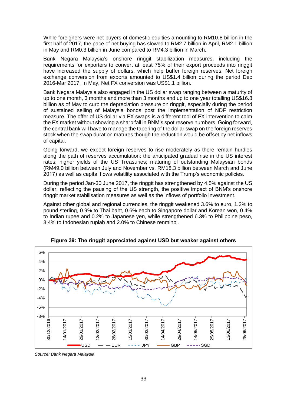While foreigners were net buyers of domestic equities amounting to RM10.8 billion in the first half of 2017, the pace of net buying has slowed to RM2.7 billion in April, RM2.1 billion in May and RM0.3 billion in June compared to RM4.3 billion in March.

Bank Negara Malaysia's onshore ringgit stabilization measures, including the requirements for exporters to convert at least 75% of their export proceeds into ringgit have increased the supply of dollars, which help buffer foreign reserves. Net foreign exchange conversion from exports amounted to US\$1.4 billion during the period Dec 2016-Mar 2017. In May, Net FX conversion was US\$1.1 billion.

Bank Negara Malaysia also engaged in the US dollar swap ranging between a maturity of up to one month, 3 months and more than 3 months and up to one year totalling US\$16.8 billion as of May to curb the depreciation pressure on ringgit, especially during the period of sustained selling of Malaysia bonds post the implementation of NDF restriction measure. The offer of US dollar via FX swaps is a different tool of FX intervention to calm the FX market without showing a sharp fall in BNM's spot reserve numbers. Going forward, the central bank will have to manage the tapering of the dollar swap on the foreign reserves stock when the swap duration matures though the reduction would be offset by net inflows of capital.

Going forward, we expect foreign reserves to rise moderately as there remain hurdles along the path of reserves accumulation: the anticipated gradual rise in the US interest rates; higher yields of the US Treasuries; maturing of outstanding Malaysian bonds (RM49.0 billion between July and November vs. RM18.3 billion between March and June 2017) as well as capital flows volatility associated with the Trump's economic policies.

During the period Jan-30 June 2017, the ringgit has strengthened by 4.5% against the US dollar, reflecting the pausing of the US strength, the positive impact of BNM's onshore ringgit market stabilisation measures as well as the inflows of portfolio investment.

Against other global and regional currencies, the ringgit weakened 3.6% to euro, 1.2% to pound sterling, 0.9% to Thai baht, 0.6% each to Singapore dollar and Korean won, 0.4% to Indian rupee and 0.2% to Japanese yen, while strengthened 6.3% to Philippine peso, 3.4% to Indonesian rupiah and 2.0% to Chinese renminbi.



**Figure 39: The ringgit appreciated against USD but weaker against others**

*Source: Bank Negara Malaysia*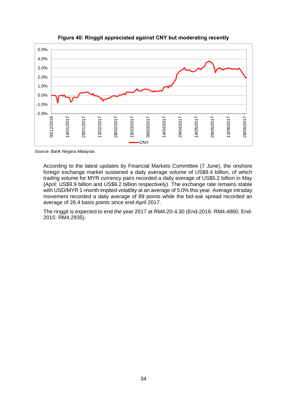

**Figure 40: Ringgit appreciated against CNY but moderating recently**

*Source: Bank Negara Malaysia*

According to the latest updates by Financial Markets Committee (7 June), the onshore foreign exchange market sustained a daily average volume of US\$9.4 billion, of which trading volume for MYR currency pairs recorded a daily average of US\$5.2 billion in May (April: US\$9.9 billion and US\$6.2 billion respectively). The exchange rate remains stable with USD/MYR 1-month implied volatility at an average of 5.0% this year. Average intraday movement recorded a daily average of 89 points while the bid-ask spread recorded an average of 26.4 basis points since end-April 2017.

The ringgit is expected to end the year 2017 at RM4.20-4.30 (End-2016: RM4.4860; End-2015: RM4.2935).